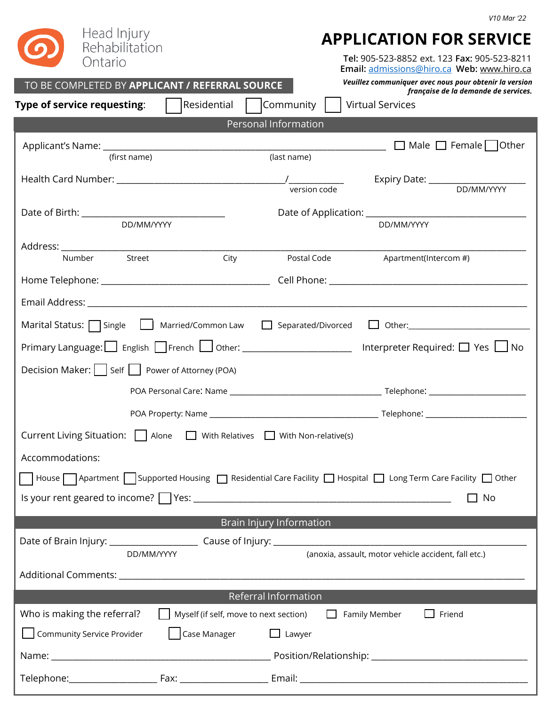| Head Injury<br><b>APPLICATION FOR SERVICE</b><br>Rehabilitation<br>Tel: 905-523-8852 ext. 123 Fax: 905-523-8211<br>Ontario<br>Email: admissions@hiro.ca Web: www.hiro.ca<br>Veuillez communiquer avec nous pour obtenir la version<br>TO BE COMPLETED BY APPLICANT / REFERRAL SOURCE<br>française de la demande de services.<br>Residential<br>  Community<br>Type of service requesting:<br><b>Virtual Services</b> |  |  |  |  |  |
|----------------------------------------------------------------------------------------------------------------------------------------------------------------------------------------------------------------------------------------------------------------------------------------------------------------------------------------------------------------------------------------------------------------------|--|--|--|--|--|
| Personal Information                                                                                                                                                                                                                                                                                                                                                                                                 |  |  |  |  |  |
| $\Box$ Male $\Box$ Female $\Box$ Other<br>(last name)<br>(first name)                                                                                                                                                                                                                                                                                                                                                |  |  |  |  |  |
| Expiry Date: DD/MM/YYYY                                                                                                                                                                                                                                                                                                                                                                                              |  |  |  |  |  |
| DD/MM/YYYY<br>DD/MM/YYYY                                                                                                                                                                                                                                                                                                                                                                                             |  |  |  |  |  |
| City<br>Street<br>Postal Code<br>Apartment(Intercom #)<br>Number                                                                                                                                                                                                                                                                                                                                                     |  |  |  |  |  |
|                                                                                                                                                                                                                                                                                                                                                                                                                      |  |  |  |  |  |
|                                                                                                                                                                                                                                                                                                                                                                                                                      |  |  |  |  |  |
| $\Box$ Other:<br>Marital Status: $\Box$ Single $\Box$ Married/Common Law $\Box$ Separated/Divorced                                                                                                                                                                                                                                                                                                                   |  |  |  |  |  |
| Primary Language: English Elfrench Lul Other: ___________________________ Interpreter Required: $\Box$ Yes Lul No                                                                                                                                                                                                                                                                                                    |  |  |  |  |  |
| Decision Maker:     Self     Power of Attorney (POA)                                                                                                                                                                                                                                                                                                                                                                 |  |  |  |  |  |
|                                                                                                                                                                                                                                                                                                                                                                                                                      |  |  |  |  |  |
|                                                                                                                                                                                                                                                                                                                                                                                                                      |  |  |  |  |  |
| Current Living Situation:     Alone   With Relatives   With Non-relative(s)                                                                                                                                                                                                                                                                                                                                          |  |  |  |  |  |
| Accommodations:                                                                                                                                                                                                                                                                                                                                                                                                      |  |  |  |  |  |
| □ House Apartment Supported Housing Buresidential Care Facility Buresital Bures Term Care Facility Burer                                                                                                                                                                                                                                                                                                             |  |  |  |  |  |
| Is your rent geared to income? TYes: The Common Contract Contract Contract Contract Contract Contract Contract<br>No                                                                                                                                                                                                                                                                                                 |  |  |  |  |  |
| Brain Injury Information                                                                                                                                                                                                                                                                                                                                                                                             |  |  |  |  |  |
| (anoxia, assault, motor vehicle accident, fall etc.)<br>DD/MM/YYYY                                                                                                                                                                                                                                                                                                                                                   |  |  |  |  |  |
|                                                                                                                                                                                                                                                                                                                                                                                                                      |  |  |  |  |  |
| Referral Information                                                                                                                                                                                                                                                                                                                                                                                                 |  |  |  |  |  |
| Who is making the referral?<br>$\Box$ Myself (if self, move to next section) $\Box$ Family Member<br>$\Box$ Friend                                                                                                                                                                                                                                                                                                   |  |  |  |  |  |
| Community Service Provider<br>  Case Manager □ Lawyer                                                                                                                                                                                                                                                                                                                                                                |  |  |  |  |  |
|                                                                                                                                                                                                                                                                                                                                                                                                                      |  |  |  |  |  |
|                                                                                                                                                                                                                                                                                                                                                                                                                      |  |  |  |  |  |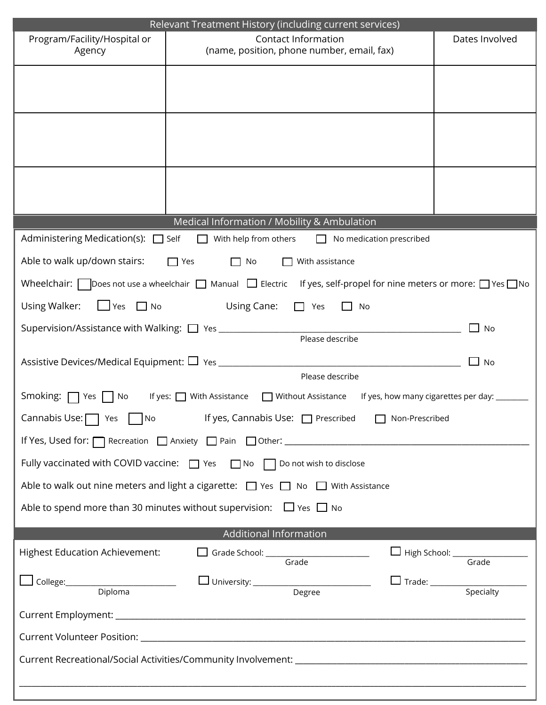|                                                                                                                                    |                                                                                                                                              | Relevant Treatment History (including current services) |  |  |  |  |
|------------------------------------------------------------------------------------------------------------------------------------|----------------------------------------------------------------------------------------------------------------------------------------------|---------------------------------------------------------|--|--|--|--|
| Program/Facility/Hospital or<br>Agency                                                                                             | <b>Contact Information</b><br>(name, position, phone number, email, fax)                                                                     | Dates Involved                                          |  |  |  |  |
|                                                                                                                                    |                                                                                                                                              |                                                         |  |  |  |  |
|                                                                                                                                    |                                                                                                                                              |                                                         |  |  |  |  |
|                                                                                                                                    |                                                                                                                                              |                                                         |  |  |  |  |
|                                                                                                                                    |                                                                                                                                              |                                                         |  |  |  |  |
|                                                                                                                                    |                                                                                                                                              |                                                         |  |  |  |  |
|                                                                                                                                    |                                                                                                                                              |                                                         |  |  |  |  |
|                                                                                                                                    | Medical Information / Mobility & Ambulation                                                                                                  |                                                         |  |  |  |  |
| Administering Medication(s): $\Box$ Self $\Box$ With help from others<br>No medication prescribed<br>$\mathbf{L}$                  |                                                                                                                                              |                                                         |  |  |  |  |
| Able to walk up/down stairs:                                                                                                       | $\Box$ Yes<br>With assistance<br>$\Box$ No                                                                                                   |                                                         |  |  |  |  |
|                                                                                                                                    | Wheelchair: $\Box$ Does not use a wheelchair $\Box$ Manual $\Box$ Electric If yes, self-propel for nine meters or more: $\Box$ Yes $\Box$ No |                                                         |  |  |  |  |
| Using Walker:<br>$\Box$ Yes $\Box$ No                                                                                              | Using Cane:<br>Yes<br>$\Box$ No<br>$\Box$                                                                                                    |                                                         |  |  |  |  |
|                                                                                                                                    |                                                                                                                                              | $\Box$ No                                               |  |  |  |  |
|                                                                                                                                    |                                                                                                                                              |                                                         |  |  |  |  |
|                                                                                                                                    |                                                                                                                                              | <b>No</b>                                               |  |  |  |  |
|                                                                                                                                    | Please describe                                                                                                                              |                                                         |  |  |  |  |
| Smoking: $\Box$ Yes     No<br>If yes: $\Box$ With Assistance $\Box$ Without Assistance If yes, how many cigarettes per day: $\Box$ |                                                                                                                                              |                                                         |  |  |  |  |
| Cannabis Use: $\Box$ Yes $\Box$ No If yes, Cannabis Use: $\Box$ Prescribed $\Box$ Non-Prescribed                                   |                                                                                                                                              |                                                         |  |  |  |  |
|                                                                                                                                    |                                                                                                                                              |                                                         |  |  |  |  |
| Fully vaccinated with COVID vaccine: D Yes D No D Do not wish to disclose                                                          |                                                                                                                                              |                                                         |  |  |  |  |
| Able to walk out nine meters and light a cigarette: $\Box$ Yes $\Box$ No $\Box$ With Assistance                                    |                                                                                                                                              |                                                         |  |  |  |  |
| Able to spend more than 30 minutes without supervision: $\Box$ Yes $\Box$ No                                                       |                                                                                                                                              |                                                         |  |  |  |  |
|                                                                                                                                    | Additional Information                                                                                                                       |                                                         |  |  |  |  |
| <b>Highest Education Achievement:</b>                                                                                              | Grade School: Grade                                                                                                                          | High School: Grade                                      |  |  |  |  |
|                                                                                                                                    |                                                                                                                                              |                                                         |  |  |  |  |
| Diploma                                                                                                                            | Degree                                                                                                                                       |                                                         |  |  |  |  |
|                                                                                                                                    |                                                                                                                                              |                                                         |  |  |  |  |
|                                                                                                                                    |                                                                                                                                              |                                                         |  |  |  |  |
|                                                                                                                                    |                                                                                                                                              |                                                         |  |  |  |  |
|                                                                                                                                    |                                                                                                                                              |                                                         |  |  |  |  |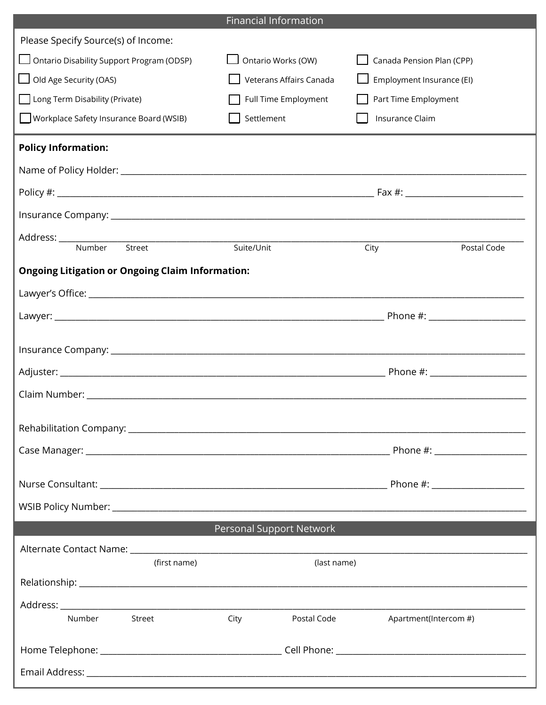|                                                         | <b>Financial Information</b> |                                                    |  |
|---------------------------------------------------------|------------------------------|----------------------------------------------------|--|
| Please Specify Source(s) of Income:                     |                              |                                                    |  |
| Ontario Disability Support Program (ODSP)               | Ontario Works (OW)           | Canada Pension Plan (CPP)                          |  |
| Old Age Security (OAS)                                  | Veterans Affairs Canada      | Employment Insurance (EI)                          |  |
| Long Term Disability (Private)                          | Full Time Employment         | Part Time Employment                               |  |
| Workplace Safety Insurance Board (WSIB)                 | Settlement                   | Insurance Claim                                    |  |
| <b>Policy Information:</b>                              |                              |                                                    |  |
|                                                         |                              |                                                    |  |
|                                                         |                              |                                                    |  |
|                                                         |                              |                                                    |  |
| Address: ______________                                 |                              |                                                    |  |
| Number<br>Street                                        | Suite/Unit                   | City<br>Postal Code                                |  |
| <b>Ongoing Litigation or Ongoing Claim Information:</b> |                              |                                                    |  |
|                                                         |                              |                                                    |  |
|                                                         |                              |                                                    |  |
|                                                         |                              |                                                    |  |
|                                                         |                              |                                                    |  |
|                                                         |                              |                                                    |  |
|                                                         |                              |                                                    |  |
|                                                         |                              |                                                    |  |
|                                                         |                              |                                                    |  |
|                                                         |                              |                                                    |  |
|                                                         |                              |                                                    |  |
|                                                         |                              |                                                    |  |
|                                                         | Personal Support Network     |                                                    |  |
| (first name)                                            | (last name)                  |                                                    |  |
|                                                         |                              |                                                    |  |
|                                                         |                              |                                                    |  |
| Number Street                                           | City                         | Postal Code <b>Server</b><br>Apartment(Intercom #) |  |
|                                                         |                              |                                                    |  |
|                                                         |                              |                                                    |  |
|                                                         |                              |                                                    |  |